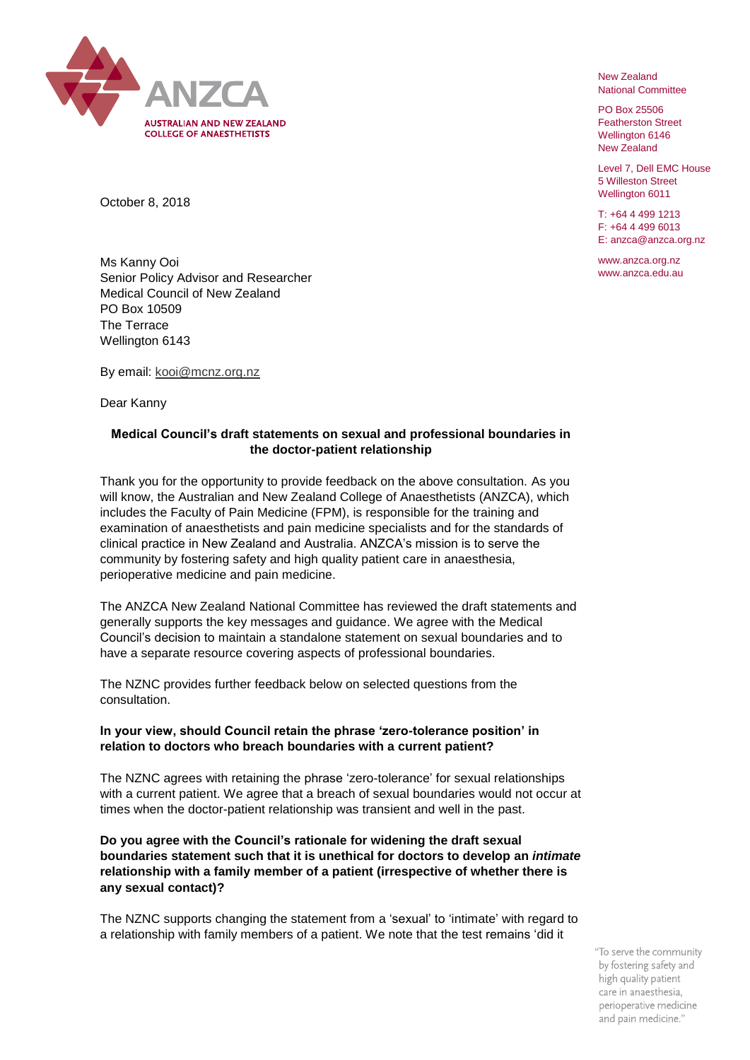

New Zealand National Committee

PO Box 25506 Featherston Street Wellington 6146 New Zealand

Level 7, Dell EMC House 5 Willeston Street Wellington 6011

T: +64 4 499 1213 F: +64 4 499 6013 E: anzca@anzca.org.nz

www.anzca.org.nz www.anzca.edu.au

October 8, 2018

Ms Kanny Ooi Senior Policy Advisor and Researcher Medical Council of New Zealand PO Box 10509 The Terrace Wellington 6143

By email: [kooi@mcnz.org.nz](mailto:kooi@mcnz.org.nz)

Dear Kanny

## **Medical Council's draft statements on sexual and professional boundaries in the doctor-patient relationship**

Thank you for the opportunity to provide feedback on the above consultation. As you will know, the Australian and New Zealand College of Anaesthetists (ANZCA), which includes the Faculty of Pain Medicine (FPM), is responsible for the training and examination of anaesthetists and pain medicine specialists and for the standards of clinical practice in New Zealand and Australia. ANZCA's mission is to serve the community by fostering safety and high quality patient care in anaesthesia, perioperative medicine and pain medicine.

The ANZCA New Zealand National Committee has reviewed the draft statements and generally supports the key messages and guidance. We agree with the Medical Council's decision to maintain a standalone statement on sexual boundaries and to have a separate resource covering aspects of professional boundaries.

The NZNC provides further feedback below on selected questions from the consultation.

## **In your view, should Council retain the phrase 'zero-tolerance position' in relation to doctors who breach boundaries with a current patient?**

The NZNC agrees with retaining the phrase 'zero-tolerance' for sexual relationships with a current patient. We agree that a breach of sexual boundaries would not occur at times when the doctor-patient relationship was transient and well in the past.

## **Do you agree with the Council's rationale for widening the draft sexual boundaries statement such that it is unethical for doctors to develop an** *intimate*  **relationship with a family member of a patient (irrespective of whether there is any sexual contact)?**

The NZNC supports changing the statement from a 'sexual' to 'intimate' with regard to a relationship with family members of a patient. We note that the test remains 'did it

> "To serve the community by fostering safety and high quality patient care in anaesthesia, perioperative medicine and pain medicine."